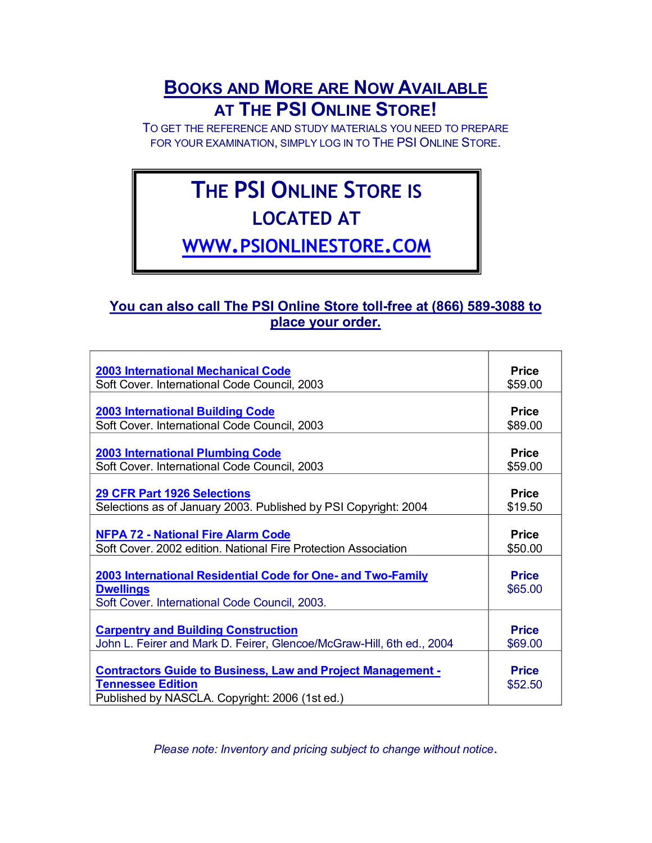### **BOOKS AND MORE ARE NOW AVAILABLE AT THE PSI ONLINE STORE!**

TO GET THE REFERENCE AND STUDY MATERIALS YOU NEED TO PREPARE FOR YOUR EXAMINATION, SIMPLY LOG IN TO THE PSI ONLINE STORE.

# **THE PSI ONLINE STORE IS**

## **LOCATED AT**

**WWW.[PSIONLINESTORE](http://www.psionlinestore.com/).COM**

#### You can also call The PSI Online Store toll-free at (866) 589-3088 to **place your order.**

| <b>2003 International Mechanical Code</b>                             | <b>Price</b> |
|-----------------------------------------------------------------------|--------------|
| Soft Cover. International Code Council, 2003                          | \$59.00      |
|                                                                       |              |
| <b>2003 International Building Code</b>                               | <b>Price</b> |
| Soft Cover. International Code Council, 2003                          | \$89.00      |
|                                                                       |              |
| <b>2003 International Plumbing Code</b>                               | <b>Price</b> |
| Soft Cover. International Code Council, 2003                          | \$59.00      |
|                                                                       |              |
| <b>29 CFR Part 1926 Selections</b>                                    | <b>Price</b> |
| Selections as of January 2003. Published by PSI Copyright: 2004       | \$19.50      |
|                                                                       |              |
| <b>NFPA 72 - National Fire Alarm Code</b>                             | <b>Price</b> |
| Soft Cover. 2002 edition. National Fire Protection Association        | \$50.00      |
|                                                                       |              |
| 2003 International Residential Code for One- and Two-Family           | <b>Price</b> |
| <b>Dwellings</b>                                                      | \$65.00      |
| Soft Cover. International Code Council, 2003.                         |              |
|                                                                       |              |
| <b>Carpentry and Building Construction</b>                            | <b>Price</b> |
| John L. Feirer and Mark D. Feirer, Glencoe/McGraw-Hill, 6th ed., 2004 | \$69.00      |
|                                                                       |              |
| <b>Contractors Guide to Business, Law and Project Management -</b>    | <b>Price</b> |
| <b>Tennessee Edition</b>                                              |              |
|                                                                       | \$52.50      |
| Published by NASCLA. Copyright: 2006 (1st ed.)                        |              |

*Please note: Inventory and pricing subject to change without notice*.